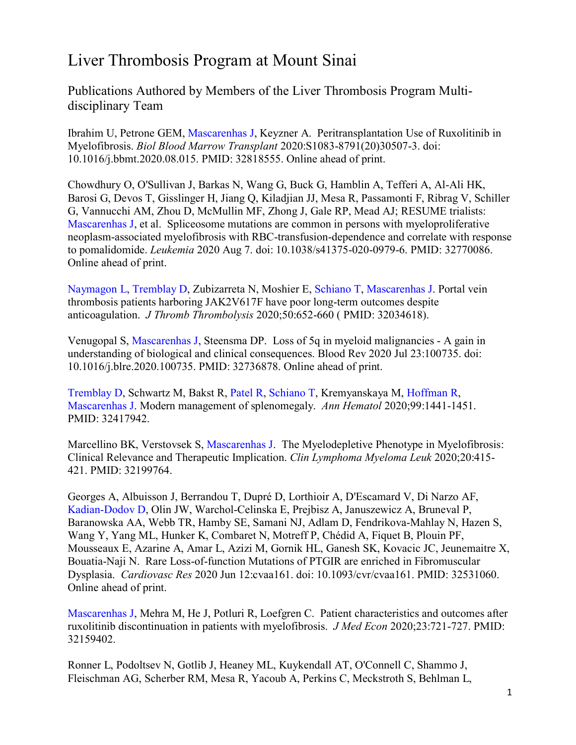## Liver Thrombosis Program at Mount Sinai

Publications Authored by Members of the Liver Thrombosis Program Multidisciplinary Team

Ibrahim U, Petrone GEM, Mascarenhas J, Keyzner A. Peritransplantation Use of Ruxolitinib in Myelofibrosis. *Biol Blood Marrow Transplant* 2020:S1083-8791(20)30507-3. doi: 10.1016/j.bbmt.2020.08.015. PMID: 32818555. Online ahead of print.

Chowdhury O, O'Sullivan J, Barkas N, Wang G, Buck G, Hamblin A, Tefferi A, Al-Ali HK, Barosi G, Devos T, Gisslinger H, Jiang Q, Kiladjian JJ, Mesa R, Passamonti F, Ribrag V, Schiller G, Vannucchi AM, Zhou D, McMullin MF, Zhong J, Gale RP, Mead AJ; RESUME trialists: Mascarenhas J, et al. Spliceosome mutations are common in persons with myeloproliferative neoplasm-associated myelofibrosis with RBC-transfusion-dependence and correlate with response to pomalidomide. *Leukemia* 2020 Aug 7. doi: 10.1038/s41375-020-0979-6. PMID: 32770086. Online ahead of print.

Naymagon L, Tremblay D, Zubizarreta N, Moshier E, Schiano T, Mascarenhas J. Portal vein thrombosis patients harboring JAK2V617F have poor long-term outcomes despite anticoagulation. *J Thromb Thrombolysis* 2020;50:652-660 ( PMID: 32034618).

Venugopal S, Mascarenhas J, Steensma DP. Loss of 5q in myeloid malignancies - A gain in understanding of biological and clinical consequences. Blood Rev 2020 Jul 23:100735. doi: 10.1016/j.blre.2020.100735. PMID: 32736878. Online ahead of print.

Tremblay D, Schwartz M, Bakst R, Patel R, Schiano T, Kremyanskaya M, Hoffman R, Mascarenhas J. Modern management of splenomegaly. *Ann Hematol* 2020;99:1441-1451. PMID: 32417942.

Marcellino BK, Verstovsek S, Mascarenhas J. The Myelodepletive Phenotype in Myelofibrosis: Clinical Relevance and Therapeutic Implication. *Clin Lymphoma Myeloma Leuk* 2020;20:415- 421. PMID: 32199764.

Georges A, Albuisson J, Berrandou T, Dupré D, Lorthioir A, D'Escamard V, Di Narzo AF, Kadian-Dodov D, Olin JW, Warchol-Celinska E, Prejbisz A, Januszewicz A, Bruneval P, Baranowska AA, Webb TR, Hamby SE, Samani NJ, Adlam D, Fendrikova-Mahlay N, Hazen S, Wang Y, Yang ML, Hunker K, Combaret N, Motreff P, Chédid A, Fiquet B, Plouin PF, Mousseaux E, Azarine A, Amar L, Azizi M, Gornik HL, Ganesh SK, Kovacic JC, Jeunemaitre X, Bouatia-Naji N. Rare Loss-of-function Mutations of PTGIR are enriched in Fibromuscular Dysplasia. *Cardiovasc Res* 2020 Jun 12:cvaa161. doi: 10.1093/cvr/cvaa161. PMID: 32531060. Online ahead of print.

Mascarenhas J, Mehra M, He J, Potluri R, Loefgren C. Patient characteristics and outcomes after ruxolitinib discontinuation in patients with myelofibrosis. *J Med Econ* 2020;23:721-727. PMID: 32159402.

Ronner L, Podoltsev N, Gotlib J, Heaney ML, Kuykendall AT, O'Connell C, Shammo J, Fleischman AG, Scherber RM, Mesa R, Yacoub A, Perkins C, Meckstroth S, Behlman L,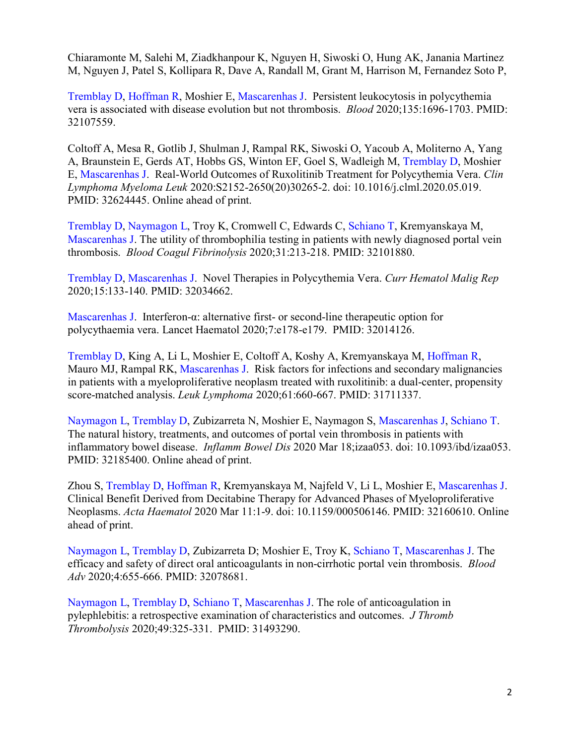Chiaramonte M, Salehi M, Ziadkhanpour K, Nguyen H, Siwoski O, Hung AK, Janania Martinez M, Nguyen J, Patel S, Kollipara R, Dave A, Randall M, Grant M, Harrison M, Fernandez Soto P,

Tremblay D, Hoffman R, Moshier E, Mascarenhas J. Persistent leukocytosis in polycythemia vera is associated with disease evolution but not thrombosis. *Blood* 2020;135:1696-1703. PMID: 32107559.

Coltoff A, Mesa R, Gotlib J, Shulman J, Rampal RK, Siwoski O, Yacoub A, Moliterno A, Yang A, Braunstein E, Gerds AT, Hobbs GS, Winton EF, Goel S, Wadleigh M, Tremblay D, Moshier E, Mascarenhas J. Real-World Outcomes of Ruxolitinib Treatment for Polycythemia Vera. *Clin Lymphoma Myeloma Leuk* 2020:S2152-2650(20)30265-2. doi: 10.1016/j.clml.2020.05.019. PMID: 32624445. Online ahead of print.

Tremblay D, Naymagon L, Troy K, Cromwell C, Edwards C, Schiano T, Kremyanskaya M, Mascarenhas J. The utility of thrombophilia testing in patients with newly diagnosed portal vein thrombosis. *Blood Coagul Fibrinolysis* 2020;31:213-218. PMID: 32101880.

Tremblay D, Mascarenhas J. Novel Therapies in Polycythemia Vera. *Curr Hematol Malig Rep* 2020;15:133-140. PMID: 32034662.

Mascarenhas J. Interferon-α: alternative first- or second-line therapeutic option for polycythaemia vera. Lancet Haematol 2020;7:e178-e179. PMID: 32014126.

Tremblay D, King A, Li L, Moshier E, Coltoff A, Koshy A, Kremyanskaya M, Hoffman R, Mauro MJ, Rampal RK, Mascarenhas J. Risk factors for infections and secondary malignancies in patients with a myeloproliferative neoplasm treated with ruxolitinib: a dual-center, propensity score-matched analysis. *Leuk Lymphoma* 2020;61:660-667. PMID: 31711337.

Naymagon L, Tremblay D, Zubizarreta N, Moshier E, Naymagon S, Mascarenhas J, Schiano T. The natural history, treatments, and outcomes of portal vein thrombosis in patients with inflammatory bowel disease. *Inflamm Bowel Dis* 2020 Mar 18;izaa053. doi: 10.1093/ibd/izaa053. PMID: 32185400. Online ahead of print.

Zhou S, Tremblay D, Hoffman R, Kremyanskaya M, Najfeld V, Li L, Moshier E, Mascarenhas J. Clinical Benefit Derived from Decitabine Therapy for Advanced Phases of Myeloproliferative Neoplasms. *Acta Haematol* 2020 Mar 11:1-9. doi: 10.1159/000506146. PMID: 32160610. Online ahead of print.

Naymagon L, Tremblay D, Zubizarreta D; Moshier E, Troy K, Schiano T, Mascarenhas J. The efficacy and safety of direct oral anticoagulants in non-cirrhotic portal vein thrombosis. *Blood Adv* 2020;4:655-666. PMID: 32078681.

Naymagon L, Tremblay D, Schiano T, Mascarenhas J. The role of anticoagulation in pylephlebitis: a retrospective examination of characteristics and outcomes. *J Thromb Thrombolysis* 2020;49:325-331. PMID: 31493290.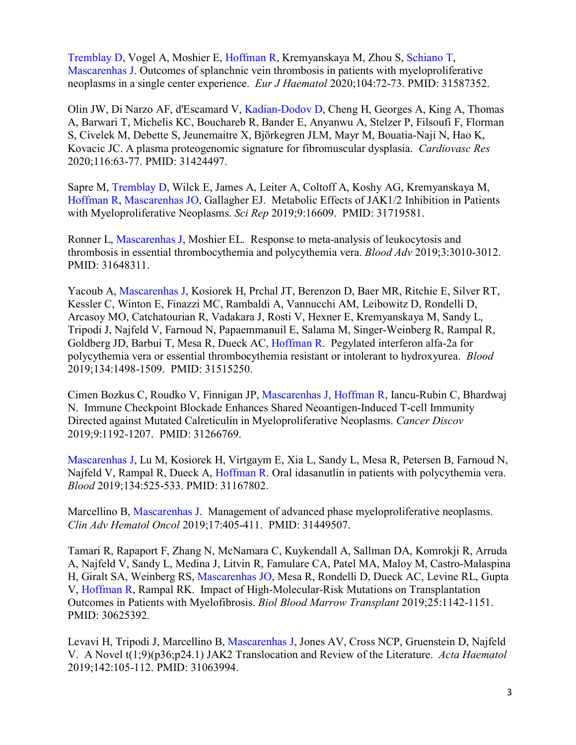Tremblay D, Vogel A, Moshier E, Hoffman R, Kremyanskaya M, Zhou S, Schiano T, Mascarenhas J. Outcomes of splanchnic vein thrombosis in patients with myeloproliferative neoplasms in a single center experience. *Eur J Haematol* 2020;104:72-73. PMID: 31587352.

Olin JW, Di Narzo AF, d'Escamard V, Kadian-Dodov D, Cheng H, Georges A, King A, Thomas A, Barwari T, Michelis KC, Bouchareb R, Bander E, Anyanwu A, Stelzer P, Filsoufi F, Florman S, Civelek M, Debette S, Jeunemaitre X, Björkegren JLM, Mayr M, Bouatia-Naji N, Hao K, Kovacic JC. A plasma proteogenomic signature for fibromuscular dysplasia. *Cardiovasc Res* 2020;116:63-77. PMID: 31424497.

Sapre M, Tremblay D, Wilck E, James A, Leiter A, Coltoff A, Koshy AG, Kremyanskaya M, Hoffman R, Mascarenhas JO, Gallagher EJ. Metabolic Effects of JAK1/2 Inhibition in Patients with Myeloproliferative Neoplasms. *Sci Rep* 2019;9:16609. PMID: 31719581.

Ronner L, Mascarenhas J, Moshier EL. Response to meta-analysis of leukocytosis and thrombosis in essential thrombocythemia and polycythemia vera. *Blood Adv* 2019;3:3010-3012. PMID: 31648311.

Yacoub A, Mascarenhas J, Kosiorek H, Prchal JT, Berenzon D, Baer MR, Ritchie E, Silver RT, Kessler C, Winton E, Finazzi MC, Rambaldi A, Vannucchi AM, Leibowitz D, Rondelli D, Arcasoy MO, Catchatourian R, Vadakara J, Rosti V, Hexner E, Kremyanskaya M, Sandy L, Tripodi J, Najfeld V, Farnoud N, Papaemmanuil E, Salama M, Singer-Weinberg R, Rampal R, Goldberg JD, Barbui T, Mesa R, Dueck AC, Hoffman R. Pegylated interferon alfa-2a for polycythemia vera or essential thrombocythemia resistant or intolerant to hydroxyurea. *Blood* 2019;134:1498-1509. PMID: 31515250.

Cimen Bozkus C, Roudko V, Finnigan JP, Mascarenhas J, Hoffman R, Iancu-Rubin C, Bhardwaj N. Immune Checkpoint Blockade Enhances Shared Neoantigen-Induced T-cell Immunity Directed against Mutated Calreticulin in Myeloproliferative Neoplasms. *Cancer Discov* 2019;9:1192-1207. PMID: 31266769.

Mascarenhas J, Lu M, Kosiorek H, Virtgaym E, Xia L, Sandy L, Mesa R, Petersen B, Farnoud N, Najfeld V, Rampal R, Dueck A, Hoffman R. Oral idasanutlin in patients with polycythemia vera. *Blood* 2019;134:525-533. PMID: 31167802.

Marcellino B, Mascarenhas J. Management of advanced phase myeloproliferative neoplasms. *Clin Adv Hematol Oncol* 2019;17:405-411. PMID: 31449507.

Tamari R, Rapaport F, Zhang N, McNamara C, Kuykendall A, Sallman DA, Komrokji R, Arruda A, Najfeld V, Sandy L, Medina J, Litvin R, Famulare CA, Patel MA, Maloy M, Castro-Malaspina H, Giralt SA, Weinberg RS, Mascarenhas JO, Mesa R, Rondelli D, Dueck AC, Levine RL, Gupta V, Hoffman R, Rampal RK. Impact of High-Molecular-Risk Mutations on Transplantation Outcomes in Patients with Myelofibrosis. *Biol Blood Marrow Transplant* 2019;25:1142-1151. PMID: 30625392.

Levavi H, Tripodi J, Marcellino B, Mascarenhas J, Jones AV, Cross NCP, Gruenstein D, Najfeld V. A Novel t(1;9)(p36;p24.1) JAK2 Translocation and Review of the Literature. *Acta Haematol* 2019;142:105-112. PMID: 31063994.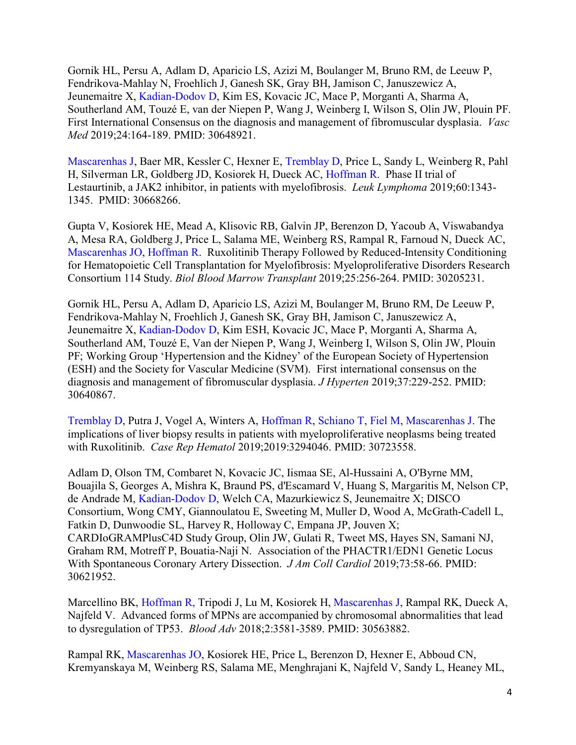Gornik HL, Persu A, Adlam D, Aparicio LS, Azizi M, Boulanger M, Bruno RM, de Leeuw P, Fendrikova-Mahlay N, Froehlich J, Ganesh SK, Gray BH, Jamison C, Januszewicz A, Jeunemaitre X, Kadian-Dodov D, Kim ES, Kovacic JC, Mace P, Morganti A, Sharma A, Southerland AM, Touzé E, van der Niepen P, Wang J, Weinberg I, Wilson S, Olin JW, Plouin PF. First International Consensus on the diagnosis and management of fibromuscular dysplasia. *Vasc Med* 2019;24:164-189. PMID: 30648921.

Mascarenhas J, Baer MR, Kessler C, Hexner E, Tremblay D, Price L, Sandy L, Weinberg R, Pahl H, Silverman LR, Goldberg JD, Kosiorek H, Dueck AC, Hoffman R. Phase II trial of Lestaurtinib, a JAK2 inhibitor, in patients with myelofibrosis. *Leuk Lymphoma* 2019;60:1343- 1345. PMID: 30668266.

Gupta V, Kosiorek HE, Mead A, Klisovic RB, Galvin JP, Berenzon D, Yacoub A, Viswabandya A, Mesa RA, Goldberg J, Price L, Salama ME, Weinberg RS, Rampal R, Farnoud N, Dueck AC, Mascarenhas JO, Hoffman R. Ruxolitinib Therapy Followed by Reduced-Intensity Conditioning for Hematopoietic Cell Transplantation for Myelofibrosis: Myeloproliferative Disorders Research Consortium 114 Study. *Biol Blood Marrow Transplant* 2019;25:256-264. PMID: 30205231.

Gornik HL, Persu A, Adlam D, Aparicio LS, Azizi M, Boulanger M, Bruno RM, De Leeuw P, Fendrikova-Mahlay N, Froehlich J, Ganesh SK, Gray BH, Jamison C, Januszewicz A, Jeunemaitre X, Kadian-Dodov D, Kim ESH, Kovacic JC, Mace P, Morganti A, Sharma A, Southerland AM, Touzé E, Van der Niepen P, Wang J, Weinberg I, Wilson S, Olin JW, Plouin PF; Working Group 'Hypertension and the Kidney' of the European Society of Hypertension (ESH) and the Society for Vascular Medicine (SVM). First international consensus on the diagnosis and management of fibromuscular dysplasia. *J Hyperten* 2019;37:229-252. PMID: 30640867.

Tremblay D, Putra J, Vogel A, Winters A, Hoffman R, Schiano T, Fiel M, Mascarenhas J. The implications of liver biopsy results in patients with myeloproliferative neoplasms being treated with Ruxolitinib. *Case Rep Hematol* 2019;2019:3294046. PMID: 30723558.

Adlam D, Olson TM, Combaret N, Kovacic JC, Iismaa SE, Al-Hussaini A, O'Byrne MM, Bouajila S, Georges A, Mishra K, Braund PS, d'Escamard V, Huang S, Margaritis M, Nelson CP, de Andrade M, Kadian-Dodov D, Welch CA, Mazurkiewicz S, Jeunemaitre X; DISCO Consortium, Wong CMY, Giannoulatou E, Sweeting M, Muller D, Wood A, McGrath-Cadell L, Fatkin D, Dunwoodie SL, Harvey R, Holloway C, Empana JP, Jouven X; CARDIoGRAMPlusC4D Study Group, Olin JW, Gulati R, Tweet MS, Hayes SN, Samani NJ, Graham RM, Motreff P, Bouatia-Naji N. Association of the PHACTR1/EDN1 Genetic Locus With Spontaneous Coronary Artery Dissection. *J Am Coll Cardiol* 2019;73:58-66. PMID: 30621952.

Marcellino BK, Hoffman R, Tripodi J, Lu M, Kosiorek H, Mascarenhas J, Rampal RK, Dueck A, Najfeld V. Advanced forms of MPNs are accompanied by chromosomal abnormalities that lead to dysregulation of TP53. *Blood Adv* 2018;2:3581-3589. PMID: 30563882.

Rampal RK, Mascarenhas JO, Kosiorek HE, Price L, Berenzon D, Hexner E, Abboud CN, Kremyanskaya M, Weinberg RS, Salama ME, Menghrajani K, Najfeld V, Sandy L, Heaney ML,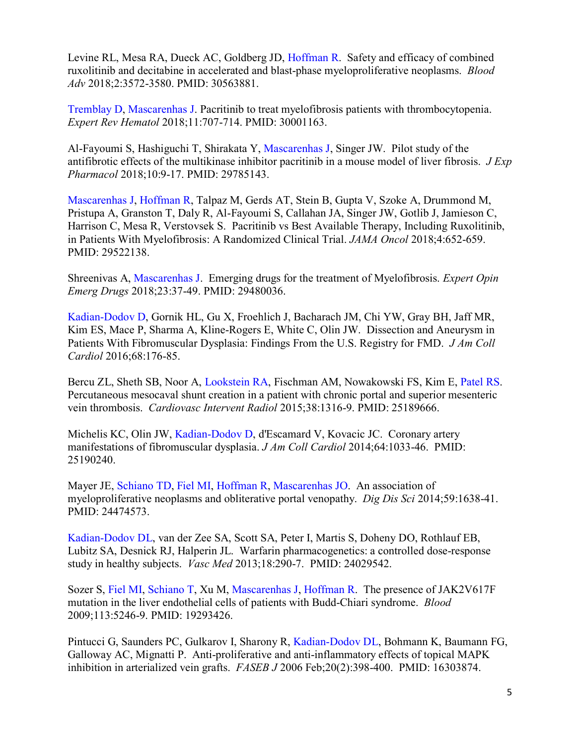Levine RL, Mesa RA, Dueck AC, Goldberg JD, Hoffman R. Safety and efficacy of combined ruxolitinib and decitabine in accelerated and blast-phase myeloproliferative neoplasms. *Blood Adv* 2018;2:3572-3580. PMID: 30563881.

Tremblay D, Mascarenhas J. Pacritinib to treat myelofibrosis patients with thrombocytopenia. *Expert Rev Hematol* 2018;11:707-714. PMID: 30001163.

Al-Fayoumi S, Hashiguchi T, Shirakata Y, Mascarenhas J, Singer JW. Pilot study of the antifibrotic effects of the multikinase inhibitor pacritinib in a mouse model of liver fibrosis. *J Exp Pharmacol* 2018;10:9-17. PMID: 29785143.

Mascarenhas J, Hoffman R, Talpaz M, Gerds AT, Stein B, Gupta V, Szoke A, Drummond M, Pristupa A, Granston T, Daly R, Al-Fayoumi S, Callahan JA, Singer JW, Gotlib J, Jamieson C, Harrison C, Mesa R, Verstovsek S. Pacritinib vs Best Available Therapy, Including Ruxolitinib, in Patients With Myelofibrosis: A Randomized Clinical Trial. *JAMA Oncol* 2018;4:652-659. PMID: 29522138.

Shreenivas A, Mascarenhas J. Emerging drugs for the treatment of Myelofibrosis. *Expert Opin Emerg Drugs* 2018;23:37-49. PMID: 29480036.

Kadian-Dodov D, Gornik HL, Gu X, Froehlich J, Bacharach JM, Chi YW, Gray BH, Jaff MR, Kim ES, Mace P, Sharma A, Kline-Rogers E, White C, Olin JW. Dissection and Aneurysm in Patients With Fibromuscular Dysplasia: Findings From the U.S. Registry for FMD. *J Am Coll Cardiol* 2016;68:176-85.

Bercu ZL, Sheth SB, Noor A, Lookstein RA, Fischman AM, Nowakowski FS, Kim E, Patel RS. Percutaneous mesocaval shunt creation in a patient with chronic portal and superior mesenteric vein thrombosis. *Cardiovasc Intervent Radiol* 2015;38:1316-9. PMID: 25189666.

Michelis KC, Olin JW, Kadian-Dodov D, d'Escamard V, Kovacic JC. Coronary artery manifestations of fibromuscular dysplasia. *J Am Coll Cardiol* 2014;64:1033-46. PMID: 25190240.

Mayer JE, Schiano TD, Fiel MI, Hoffman R, Mascarenhas JO. An association of myeloproliferative neoplasms and obliterative portal venopathy. *Dig Dis Sci* 2014;59:1638-41. PMID: 24474573.

Kadian-Dodov DL, van der Zee SA, Scott SA, Peter I, Martis S, Doheny DO, Rothlauf EB, Lubitz SA, Desnick RJ, Halperin JL. Warfarin pharmacogenetics: a controlled dose-response study in healthy subjects. *Vasc Med* 2013;18:290-7. PMID: 24029542.

Sozer S, Fiel MI, Schiano T, Xu M, Mascarenhas J, Hoffman R. The presence of JAK2V617F mutation in the liver endothelial cells of patients with Budd-Chiari syndrome. *Blood* 2009;113:5246-9. PMID: 19293426.

Pintucci G, Saunders PC, Gulkarov I, Sharony R, Kadian-Dodov DL, Bohmann K, Baumann FG, Galloway AC, Mignatti P. Anti-proliferative and anti-inflammatory effects of topical MAPK inhibition in arterialized vein grafts. *FASEB J* 2006 Feb;20(2):398-400. PMID: 16303874.